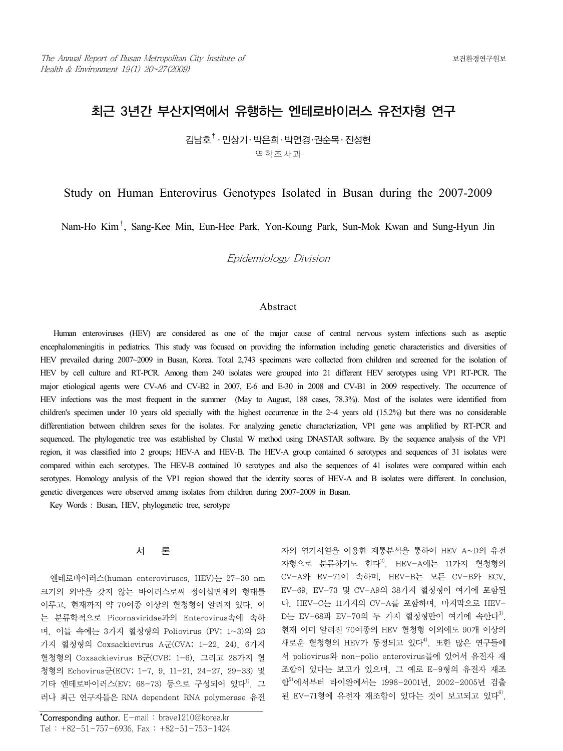# 최근 3년간 부산지역에서 유행하는 엔테로바이러스 유전자형 연구

김남호† ․ 민상기․ 박은희․ 박연경․권순목․ 진성현 역학조사과

# Study on Human Enterovirus Genotypes Isolated in Busan during the 2007-2009

Nam-Ho Kim†, Sang-Kee Min, Eun-Hee Park, Yon-Koung Park, Sun-Mok Kwan and Sung-Hyun Jin

Epidemiology Division

## Abstract

 Human enteroviruses (HEV) are considered as one of the major cause of central nervous system infections such as aseptic encephalomeningitis in pediatrics. This study was focused on providing the information including genetic characteristics and diversities of HEV prevailed during 2007~2009 in Busan, Korea. Total 2,743 specimens were collected from children and screened for the isolation of HEV by cell culture and RT-PCR. Among them 240 isolates were grouped into 21 different HEV serotypes using VP1 RT-PCR. The major etiological agents were CV-A6 and CV-B2 in 2007, E-6 and E-30 in 2008 and CV-B1 in 2009 respectively. The occurrence of HEV infections was the most frequent in the summer (May to August, 188 cases, 78.3%). Most of the isolates were identified from children's specimen under 10 years old specially with the highest occurrence in the 2~4 years old (15.2%) but there was no considerable differentiation between children sexes for the isolates. For analyzing genetic characterization, VP1 gene was amplified by RT-PCR and sequenced. The phylogenetic tree was established by Clustal W method using DNASTAR software. By the sequence analysis of the VP1 region, it was classified into 2 groups; HEV-A and HEV-B. The HEV-A group contained 6 serotypes and sequences of 31 isolates were compared within each serotypes. The HEV-B contained 10 serotypes and also the sequences of 41 isolates were compared within each serotypes. Homology analysis of the VP1 region showed that the identity scores of HEV-A and B isolates were different. In conclusion, genetic divergences were observed among isolates from children during 2007~2009 in Busan.

Key Words : Busan, HEV, phylogenetic tree, serotype

#### 서 론

엔테로바이러스(human enteroviruses, HEV)는 27-30 nm 크기의 외막을 갖지 않는 바이러스로써 정이십면체의 형태를 이루고, 현재까지 약 70여종 이상의 혈청형이 알려져 있다. 이 는 분류학적으로 Picornaviridae과의 Enterovirus속에 속하 며, 이들 속에는 3가지 혈청형의 Poliovirus (PV; 1~3)와 23 가지 혈청형의 Coxsackievirus A군(CVA; 1-22, 24), 6가지 혈청형의 Coxsackievirus B군(CVB; 1-6), 그리고 28가지 혈 청형의 Echovirus군(ECV; 1-7, 9, 11-21, 24-27, 29-33) 및 기타 엔테로바이러스(EV; 68-73) 등으로 구성되어 있다<sup>1)</sup>. 그 러나 최근 연구자들은 RNA dependent RNA polymerase 유전 자의 염기서열을 이용한 계통분석을 통하여 HEV A~D의 유전 자형으로 분류하기도 한다<sup>2)</sup>. HEV-A에는 11가지 혈청형의 CV-A와 EV-71이 속하며, HEV-B는 모든 CV-B와 ECV, EV-69, EV-73 및 CV-A9의 38가지 혈청형이 여기에 포함된 다. HEV-C는 11가지의 CV-A를 포함하며, 마지막으로 HEV-D는 EV-68과 EV-70의 두 가지 혈청형만이 여기에 속한다<sup>3)</sup>. 현재 이미 알려진 70여종의 HEV 혈청형 이외에도 90개 이상의 새로운 혈청형의 HEV가 동정되고 있다<sup>4)</sup>. 또한 많은 연구들에 서 poliovirus와 non-polio enterovirus들에 있어서 유전자 재 조합이 있다는 보고가 있으며, 그 예로 E-9형의 유전자 재조 합<sup>5)</sup>에서부터 타이완에서는 1998-2001년, 2002-2005년 검출 된 EV-71형에 유전자 재조합이 있다는 것이 보고되고 있다<sup>6)</sup>.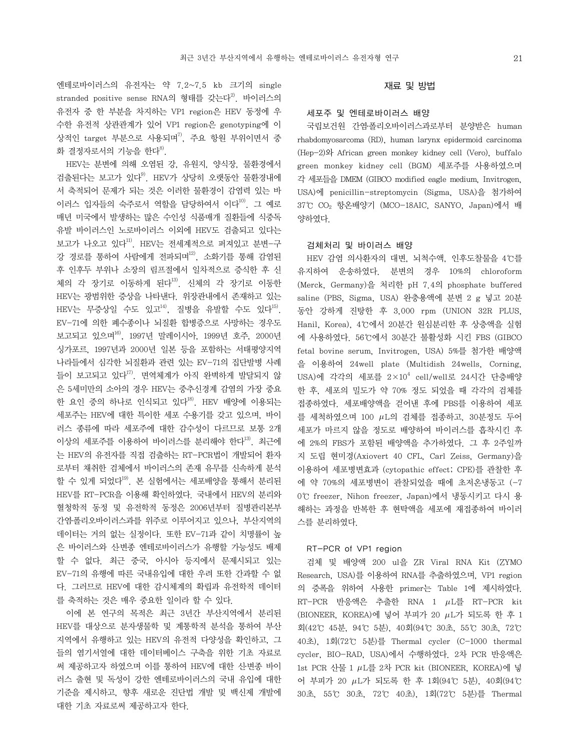엔테로바이러스의 유전자는 약 7.2~7.5 kb 크기의 single stranded positive sense RNA의 형태를 갖는다<sup>2)</sup>. 바이러스의 유전자 중 한 부분을 차지하는 VP1 region은 HEV 동정에 우 수한 유전적 상관관계가 있어 VP1 region은 genotyping에 이 상적인 target 부분으로 사용되며 $^{77}$ , 주요 항원 부위이면서 중 화 결정자로서의 기능을 한다 $^{8}$ .

HEV는 분변에 의해 오염된 강, 유원지, 양식장, 물환경에서 검출된다는 보고가 있다9). HEV가 상당히 오랫동안 물환경내에 서 축적되어 문제가 되는 것은 이러한 물환경이 감염력 있는 바 이러스 입자들의 숙주로서 역할을 담당하여서 이다<sup>10)</sup>. 그 예로 매년 미국에서 발생하는 많은 수인성 식품매개 질환들에 식중독 유발 바이러스인 노로바이러스 이외에 HEV도 검출되고 있다는 보고가 나오고 있다<sup>11)</sup>. HEV는 전세계적으로 퍼져있고 분변-구 강 경로를 통하여 사람에게 전파되며<sup>12)</sup>, 소화기를 통해 감염된 후 인후두 부위나 소장의 림프절에서 일차적으로 증식한 후 신 체의 각 장기로 이동하게 된다<sup>13)</sup>. 신체의 각 장기로 이동한 HEV는 광범위한 증상을 나타낸다. 위장관내에서 존재하고 있는  $HEV$ 는 무증상일 수도 있고 $^{14}$ , 질병을 유발할 수도 있다 $^{15}$ . EV-71에 의한 폐수종이나 뇌질환 합병증으로 사망하는 경우도 보고되고 있으며16), 1997년 말레이시아, 1999년 호주, 2000년 싱가포르, 1997년과 2000년 일본 등을 포함하는 서태평양지역 나라들에서 심각한 뇌질환과 관련 있는 EV-71의 집단발병 사례 들이 보고되고 있다<sup>17)</sup>. 면역체계가 아직 완벽하게 발달되지 않 은 5세미만의 소아의 경우 HEV는 중추신경계 감염의 가장 중요 한 요인 중의 하나로 인식되고 있다<sup>18)</sup>. HEV 배양에 이용되는 세포주는 HEV에 대한 특이한 세포 수용기를 갖고 있으며, 바이 러스 종류에 따라 세포주에 대한 감수성이 다르므로 보통 2개 이상의 세포주를 이용하여 바이러스를 분리해야 한다<sup>13)</sup>. 최근에 는 HEV의 유전자를 직접 검출하는 RT-PCR법이 개발되어 환자 로부터 채취한 검체에서 바이러스의 존재 유무를 신속하게 분석 할 수 있게 되었다<sup>19)</sup>. 본 실험에서는 세포배양을 통해서 분리된 HEV를 RT-PCR을 이용해 확인하였다. 국내에서 HEV의 분리와 혈청학적 동정 및 유전학적 동정은 2006년부터 질병관리본부 간염․폴리오바이러스과를 위주로 이루어지고 있으나, 부산지역의 데이터는 거의 없는 실정이다. 또한 EV-71과 같이 치명률이 높 은 바이러스와 신․변종 엔테로바이러스가 유행할 가능성도 배제 할 수 없다. 최근 중국, 아시아 등지에서 문제시되고 있는 EV-71의 유행에 따른 국내유입에 대한 우려 또한 간과할 수 없 다. 그러므로 HEV에 대한 감시체계의 확립과 유전학적 데이터 를 축적하는 것은 매우 중요한 일이라 할 수 있다.

이에 본 연구의 목적은 최근 3년간 부산지역에서 분리된 HEV를 대상으로 분자생물학 및 계통학적 분석을 통하여 부산 지역에서 유행하고 있는 HEV의 유전적 다양성을 확인하고, 그 들의 염기서열에 대한 데이터베이스 구축을 위한 기초 자료로 써 제공하고자 하였으며 이를 통하여 HEV에 대한 신·변종 바이 러스 출현 및 독성이 강한 엔테로바이러스의 국내 유입에 대한 기준을 제시하고, 향후 새로운 진단법 개발 및 백신제 개발에 대한 기초 자료로써 제공하고자 한다.

# 재료 및 방법

# 세포주 및 엔테로바이러스 배양

국립보건원 간염․폴리오바이러스과로부터 분양받은 human rhabdomyosarcoma (RD), human larynx epidermoid carcinoma (Hep-2)와 African green monkey kidney cell (Vero), buffalo green monkey kidney cell (BGM) 세포주를 사용하였으며 각 세포들을 DMEM (GIBCO modified eagle medium, Invitrogen, USA)에 penicillin-streptomycin (Sigma, USA)을 첨가하여 37℃ CO2 항온배양기 (MCO-18AIC, SANYO, Japan)에서 배 양하였다.

#### 검체처리 및 바이러스 배양

HEV 감염 의사환자의 대변, 뇌척수액, 인후도찰물을 4℃를 유지하여 운송하였다. 분변의 경우 10%의 chloroform (Merck, Germany)을 처리한 pH 7.4의 phosphate buffered saline (PBS, Sigma, USA) 완충용액에 분변 2 g 넣고 20분 동안 강하게 진탕한 후 3,000 rpm (UNION 32R PLUS, Hanil, Korea), 4℃에서 20분간 원심분리한 후 상층액을 실험 에 사용하였다. 56℃에서 30분간 불활성화 시킨 FBS (GIBCO fetal bovine serum, Invitrogen, USA) 5%를 첨가한 배양액 을 이용하여 24well plate (Multidish 24wells, Corning, USA)에 각각의 세포를  $2\times10^4$  cell/well로 24시간 단층배양 한 후, 세포의 밀도가 약 70% 정도 되었을 때 각각의 검체를 접종하였다. 세포배양액을 걷어낸 후에 PBS를 이용하여 세포 를 세척하였으며 100  $\mu$ L의 검체를 접종하고, 30분정도 두어 세포가 마르지 않을 정도로 배양하여 바이러스를 흡착시킨 후 에 2%의 FBS가 포함된 배양액을 추가하였다. 그 후 2주일까 지 도립 현미경(Axiovert 40 CFL, Carl Zeiss, Germany)을 이용하여 세포병변효과 (cytopathic effect; CPE)를 관찰한 후 에 약 70%의 세포병변이 관찰되었을 때에 초저온냉동고 (-7 0℃ freezer, Nihon freezer, Japan)에서 냉동시키고 다시 용 해하는 과정을 반복한 후 현탁액을 세포에 재접종하여 바이러 스를 분리하였다.

#### RT-PCR of VP1 region

검체 및 배양액 200 ul을 ZR Viral RNA Kit (ZYMO Research, USA)를 이용하여 RNA를 추출하였으며, VP1 region 의 증폭을 위하여 사용한 primer는 Table 1에 제시하였다.  $RT-PCR$  반응액은 추출한 RNA 1  $\mu$ L를 RT-PCR kit (BIONEER, KOREA)에 넣어 부피가 20  $\mu$ L가 되도록 한 후 1 회(42℃ 45분, 94℃ 5분), 40회(94℃ 30초, 55℃ 30초, 72℃ 40초), 1회(72℃ 5분)를 Thermal cycler (C-1000 thermal cycler, BIO-RAD, USA)에서 수행하였다. 2차 PCR 반응액은 1st PCR 산물 1  $\mu$ L를 2차 PCR kit (BIONEER, KOREA)에 넣 어 부피가 20 L가 되도록 한 후 1회(94℃ 5분), 40회(94℃ 30초, 55℃ 30초, 72℃ 40초), 1회(72℃ 5분)를 Thermal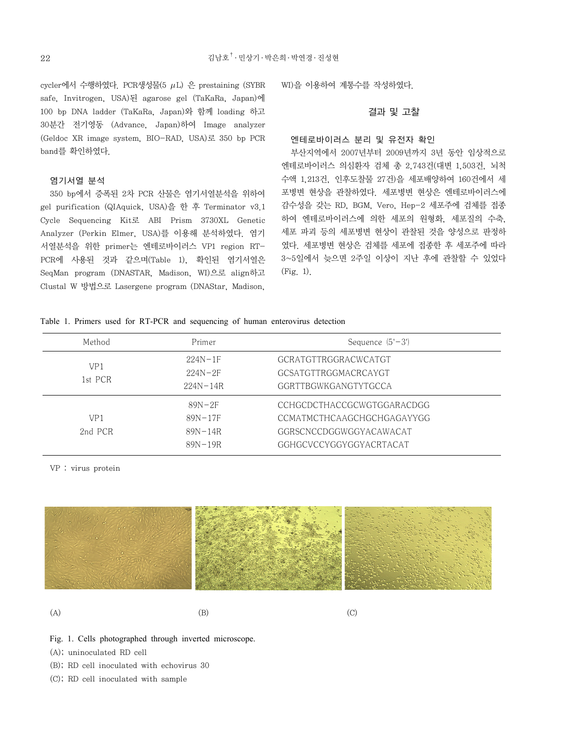cycler에서 수행하였다. PCR생성물(5  $\mu$ L) 은 prestaining (SYBR safe, Invitrogen, USA)된 agarose gel (TaKaRa, Japan)에 100 bp DNA ladder (TaKaRa, Japan)와 함께 loading 하고 30분간 전기영동 (Advance, Japan)하여 Image analyzer (Geldoc XR image system, BIO-RAD, USA)로 350 bp PCR band를 확인하였다.

#### 염기서열 분석

350 bp에서 증폭된 2차 PCR 산물은 염기서열분석을 위하여 gel purification (QIAquick, USA)을 한 후 Terminator v3.1 Cycle Sequencing Kit로 ABI Prism 3730XL Genetic Analyzer (Perkin Elmer, USA)를 이용해 분석하였다. 염기 서열분석을 위한 primer는 엔테로바이러스 VP1 region RT-PCR에 사용된 것과 같으며(Table 1), 확인된 염기서열은 SeqMan program (DNASTAR, Madison, WI)으로 align하고 Clustal W 방법으로 Lasergene program (DNAStar, Madison,

WI)을 이용하여 계통수를 작성하였다.

# 결과 및 고찰

#### 엔테로바이러스 분리 및 유전자 확인

부산지역에서 2007년부터 2009년까지 3년 동안 임상적으로 엔테로바이러스 의심환자 검체 총 2,743건(대변 1,503건, 뇌척 수액 1,213건, 인후도찰물 27건)을 세포배양하여 160건에서 세 포병변 현상을 관찰하였다. 세포병변 현상은 엔테로바이러스에 감수성을 갖는 RD, BGM, Vero, Hep-2 세포주에 검체를 접종 하여 엔테로바이러스에 의한 세포의 원형화, 세포질의 수축, 세포 파괴 등의 세포병변 현상이 관찰된 것을 양성으로 판정하 였다. 세포병변 현상은 검체를 세포에 접종한 후 세포주에 따라 3~5일에서 늦으면 2주일 이상이 지난 후에 관찰할 수 있었다 (Fig. 1).

|  |  |  |  |  |  |  |  | Table 1. Primers used for RT-PCR and sequencing of human enterovirus detection |  |  |  |  |
|--|--|--|--|--|--|--|--|--------------------------------------------------------------------------------|--|--|--|--|
|--|--|--|--|--|--|--|--|--------------------------------------------------------------------------------|--|--|--|--|

| Method                     | Primer                                                | Sequence $(5' - 3')$                                                                                           |  |  |  |
|----------------------------|-------------------------------------------------------|----------------------------------------------------------------------------------------------------------------|--|--|--|
| VP1<br>1st PCR             | $224N - 1F$<br>$224N - 2F$<br>$224N - 14R$            | GCRATGTTRGGRACWCATGT<br>GCSATGTTRGGMACRCAYGT<br>GGRTTBGWKGANGTYTGCCA                                           |  |  |  |
| VP <sub>1</sub><br>2nd PCR | $89N-2F$<br>$89N - 17F$<br>$89N - 14R$<br>$89N - 19R$ | CCHGCDCTHACCGCWGTGGARACDGG<br>CCMATMCTHCAAGCHGCHGAGAYYGG<br>GGRSCNCCDGGWGGYACAWACAT<br>GGHGCVCCYGGYGGYACRTACAT |  |  |  |

VP : virus protein



 $(A)$  (B) (C)

- Fig. 1. Cells photographed through inverted microscope.
- (A); uninoculated RD cell
- (B); RD cell inoculated with echovirus 30
- (C); RD cell inoculated with sample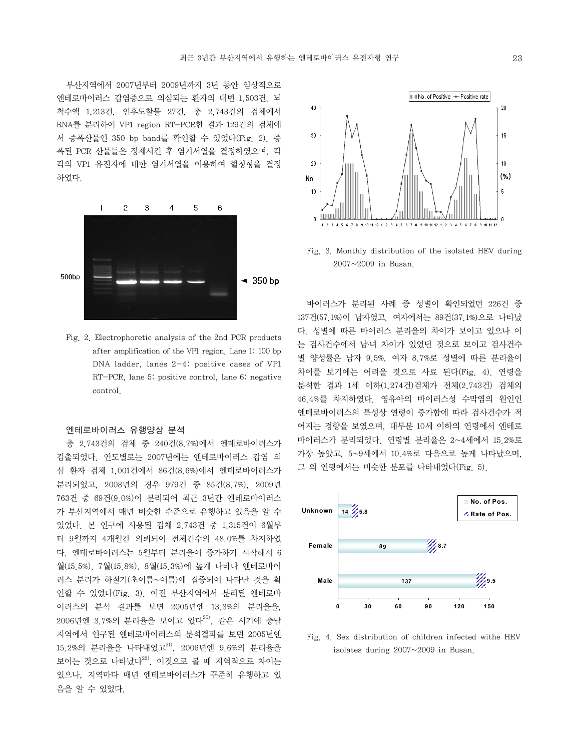부산지역에서 2007년부터 2009년까지 3년 동안 임상적으로 엔테로바이러스 감염증으로 의심되는 환자의 대변 1,503건, 뇌 척수액 1,213건, 인후도찰물 27건, 총 2,743건의 검체에서 RNA를 분리하여 VP1 region RT-PCR한 결과 129건의 검체에 서 증폭산물인 350 bp band를 확인할 수 있었다(Fig. 2). 증 폭된 PCR 산물들은 정제시킨 후 염기서열을 결정하였으며, 각 각의 VP1 유전자에 대한 염기서열을 이용하여 혈청형을 결정 하였다



Fig. 2. Electrophoretic analysis of the 2nd PCR products after amplification of the VP1 region. Lane 1: 100 bp DNA ladder, lanes 2-4: positive cases of VP1 RT-PCR, lane 5: positive control, lane 6: negative control.

## 엔테로바이러스 유행양상 분석

총 2,743건의 검체 중 240건(8.7%)에서 엔테로바이러스가 검출되었다. 연도별로는 2007년에는 엔테로바이러스 감염 의 심 환자 검체 1,001건에서 86건(8.6%)에서 엔테로바이러스가 분리되었고, 2008년의 경우 979건 중 85건(8.7%), 2009년 763건 중 69건(9.0%)이 분리되어 최근 3년간 엔테로바이러스 가 부산지역에서 매년 비슷한 수준으로 유행하고 있음을 알 수 있었다. 본 연구에 사용된 검체 2,743건 중 1,315건이 6월부 터 9월까지 4개월간 의뢰되어 전체건수의 48.0%를 차지하였 다. 엔테로바이러스는 5월부터 분리율이 증가하기 시작해서 6 월(15.5%), 7월(15.8%), 8월(15.3%)에 높게 나타나 엔테로바이 러스 분리가 하절기(초여름~여름)에 집중되어 나타난 것을 확 인할 수 있었다(Fig. 3). 이전 부산지역에서 분리된 엔테로바 이러스의 분석 결과를 보면 2005년엔 13.3%의 분리율을,  $2006$ 년엔 3.7%의 분리율을 보이고 있다 $^{20}$ . 같은 시기에 충남 지역에서 연구된 엔테로바이러스의 분석결과를 보면 2005년엔  $15.2%$ 의 분리율을 나타내었고 $^{21)}$ ,  $2006$ 년엔 9.6%의 분리율을 보이는 것으로 나타났다<sup>22)</sup>. 이것으로 볼 때 지역적으로 차이는 있으나, 지역마다 매년 엔테로바이러스가 꾸준히 유행하고 있 음을 알 수 있었다.



Fig. 3. Monthly distribution of the isolated HEV during 2007~2009 in Busan.

바이러스가 분리된 사례 중 성별이 확인되었던 226건 중 137건(57.1%)이 남자였고, 여자에서는 89건(37.1%)으로 나타났 다. 성별에 따른 바이러스 분리율의 차이가 보이고 있으나 이 는 검사건수에서 남․녀 차이가 있었던 것으로 보이고 검사건수 별 양성률은 남자 9.5%, 여자 8.7%로 성별에 따른 분리율이 차이를 보기에는 어려울 것으로 사료 된다(Fig. 4). 연령을 분석한 결과 1세 이하(1,274건)검체가 전체(2,743건) 검체의 46.4%를 차지하였다. 영유아의 바이러스성 수막염의 원인인 엔테로바이러스의 특성상 연령이 증가함에 따라 검사건수가 적 어지는 경향을 보였으며, 대부분 10세 이하의 연령에서 엔테로 바이러스가 분리되었다. 연령별 분리율은 2~4세에서 15.2%로 가장 높았고, 5~9세에서 10.4%로 다음으로 높게 나타났으며, 그 외 연령에서는 비슷한 분포를 나타내었다(Fig. 5).



Fig. 4. Sex distribution of children infected withe HEV isolates during 2007~2009 in Busan.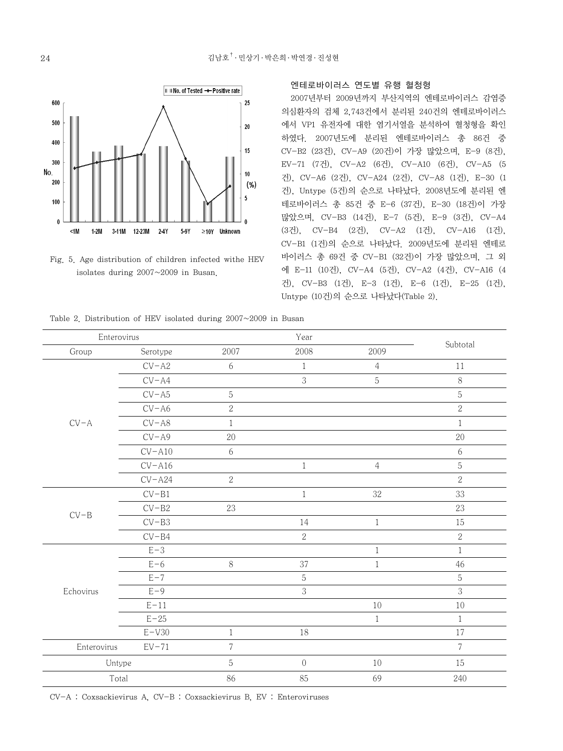

Fig. 5. Age distribution of children infected withe HEV isolates during 2007~2009 in Busan.

#### 엔테로바이러스 연도별 유행 혈청형

2007년부터 2009년까지 부산지역의 엔테로바이러스 감염증 의심환자의 검체 2,743건에서 분리된 240건의 엔테로바이러스 에서 VP1 유전자에 대한 염기서열을 분석하여 혈청형을 확인 하였다. 2007년도에 분리된 엔테로바이러스 총 86건 중 CV-B2 (23건), CV-A9 (20건)이 가장 많았으며, E-9 (8건), EV-71 (7건), CV-A2 (6건), CV-A10 (6건), CV-A5 (5 건), CV-A6 (2건), CV-A24 (2건), CV-A8 (1건), E-30 (1 건), Untype (5건)의 순으로 나타났다. 2008년도에 분리된 엔 테로바이러스 총 85건 중 E-6 (37건), E-30 (18건)이 가장 많았으며, CV-B3 (14건), E-7 (5건), E-9 (3건), CV-A4 (3건), CV-B4 (2건), CV-A2 (1건), CV-A16 (1건), CV-B1 (1건)의 순으로 나타났다. 2009년도에 분리된 엔테로 바이러스 총 69건 중 CV-B1 (32건)이 가장 많았으며, 그 외 에 E-11 (10건), CV-A4 (5건), CV-A2 (4건), CV-A16 (4 건), CV-B3 (1건), E-3 (1건), E-6 (1건), E-25 (1건), Untype (10건)의 순으로 나타났다(Table 2).

Table 2. Distribution of HEV isolated during 2007~2009 in Busan

| Enterovirus            |           |                |                |                |                |
|------------------------|-----------|----------------|----------------|----------------|----------------|
| Group                  | Serotype  |                | 2008           | 2009           | Subtotal       |
|                        | $CV- A2$  | $6\,$          | $\mathbf{1}$   | $\overline{4}$ | 11             |
|                        | $CV-AA$   |                | 3              | $\mathbf 5$    | 8              |
|                        | $CV-AS$   | $\mathbf 5$    |                |                | 5              |
|                        | $CV-AG$   | $\sqrt{2}$     |                |                | $\sqrt{2}$     |
| $CV-A$                 | $CV-AS$   | $1\,$          |                |                | $\mathbf{1}$   |
|                        | $CV- A9$  | 20             |                |                | 20             |
|                        | $CV- A10$ | 6              |                |                | 6              |
|                        | $CV- A16$ |                | $\mathbf{1}$   | $\overline{4}$ | 5              |
|                        | $CV- A24$ | $\sqrt{2}$     |                |                | $\overline{2}$ |
|                        | $CV-B1$   |                | $\mathbf{1}$   | $32\,$         | 33             |
| $CV-B$                 | $CV-B2$   | 23             |                |                | 23             |
|                        | $CV-B3$   |                | 14             | $\,1$          | 15             |
|                        | $CV-B4$   |                | $\overline{2}$ |                | $\overline{2}$ |
|                        | $E-3$     |                |                | $\mathbf{1}$   | $\mathbf{1}$   |
|                        | $E-6$     | $8\,$          | 37             | $\,1$          | 46             |
|                        | $E - 7$   |                | $\mathbf 5$    |                | $\overline{5}$ |
| Echovirus              | $E-9$     |                | 3              |                | 3              |
|                        | $E-11$    |                |                | $10\,$         | 10             |
|                        | $E-25$    |                |                | $\,1$          | $\mathbf{1}$   |
|                        | $E-V30$   | $\mathbf{1}$   | $18\,$         |                | 17             |
| Enterovirus<br>$EV-71$ |           | $\overline{7}$ |                |                | $\overline{7}$ |
| Untype                 |           | $\mathbf 5$    | $\,0\,$        | 10             | 15             |
| Total                  |           | 86             | 85             | 69             | 240            |

CV-A : Coxsackievirus A, CV-B : Coxsackievirus B, EV : Enteroviruses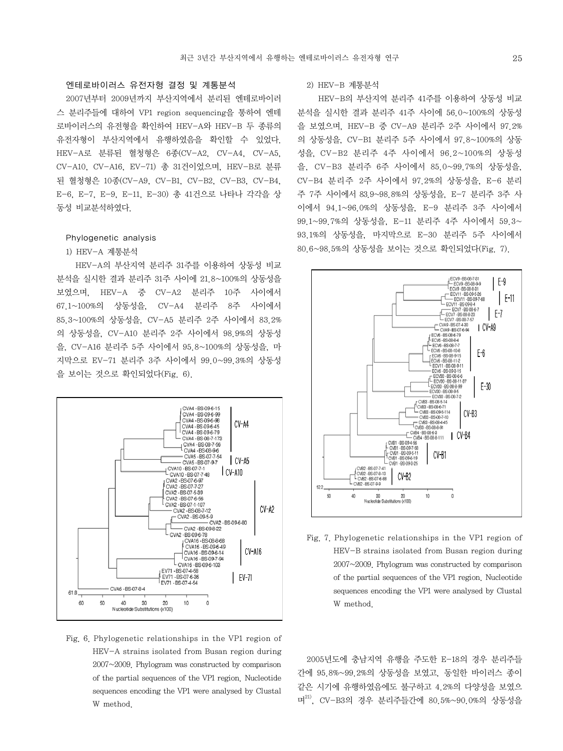# 엔테로바이러스 유전자형 결정 및 계통분석

2007년부터 2009년까지 부산지역에서 분리된 엔테로바이러 스 분리주들에 대하여 VP1 region sequencing을 통하여 엔테 로바이러스의 유전형을 확인하여 HEV-A와 HEV-B 두 종류의 유전자형이 부산지역에서 유행하였음을 확인할 수 있었다. HEV-A로 분류된 혈청형은 6종(CV-A2, CV-A4, CV-A5, CV-A10, CV-A16, EV-71) 총 31건이었으며, HEV-B로 분류 된 혈청형은 10종(CV-A9, CV-B1, CV-B2, CV-B3, CV-B4, E-6, E-7, E-9, E-11, E-30) 총 41건으로 나타나 각각을 상 동성 비교분석하였다.

## Phylogenetic analysis

## 1) HEV-A 계통분석

 HEV-A의 부산지역 분리주 31주를 이용하여 상동성 비교 분석을 실시한 결과 분리주 31주 사이에 21.8~100%의 상동성을 보였으며, HEV-A 중 CV-A2 분리주 10주 사이에서 67.1~100%의 상동성을, CV-A4 분리주 8주 사이에서 85.3~100%의 상동성을, CV-A5 분리주 2주 사이에서 83.2% 의 상동성을, CV-A10 분리주 2주 사이에서 98.9%의 상동성 을, CV-A16 분리주 5주 사이에서 95.8~100%의 상동성을, 마 지막으로 EV-71 분리주 3주 사이에서 99.0~99.3%의 상동성 을 보이는 것으로 확인되었다(Fig. 6).



Fig. 6. Phylogenetic relationships in the VP1 region of HEV-A strains isolated from Busan region during 2007~2009. Phylogram was constructed by comparison of the partial sequences of the VP1 region. Nucleotide sequences encoding the VP1 were analysed by Clustal W method.

# 2) HEV-B 계통분석

 HEV-B의 부산지역 분리주 41주를 이용하여 상동성 비교 분석을 실시한 결과 분리주 41주 사이에 56.0~100%의 상동성 을 보였으며, HEV-B 중 CV-A9 분리주 2주 사이에서 97.2% 의 상동성을, CV-B1 분리주 5주 사이에서 97.8~100%의 상동 성을, CV-B2 분리주 4주 사이에서 96.2~100%의 상동성 을, CV-B3 분리주 6주 사이에서 85.0~99.7%의 상동성을, CV-B4 분리주 2주 사이에서 97.2%의 상동성을, E-6 분리 주 7주 사이에서 83.9~98.8%의 상동성을, E-7 분리주 3주 사 이에서 94.1~96.0%의 상동성을, E-9 분리주 3주 사이에서 99.1~99.7%의 상동성을, E-11 분리주 4주 사이에서 59.3~ 93.1%의 상동성을, 마지막으로 E-30 분리주 5주 사이에서 80.6~98.5%의 상동성을 보이는 것으로 확인되었다(Fig. 7).



Fig. 7. Phylogenetic relationships in the VP1 region of HEV-B strains isolated from Busan region during 2007~2009. Phylogram was constructed by comparison of the partial sequences of the VP1 region. Nucleotide sequences encoding the VP1 were analysed by Clustal W method.

2005년도에 충남지역 유행을 주도한 E-18의 경우 분리주들 간에 95.8%~99.2%의 상동성을 보였고, 동일한 바이러스 종이 같은 시기에 유행하였음에도 불구하고 4.2%의 다양성을 보였으 며21), CV-B3의 경우 분리주들간에 80.5%~90.0%의 상동성을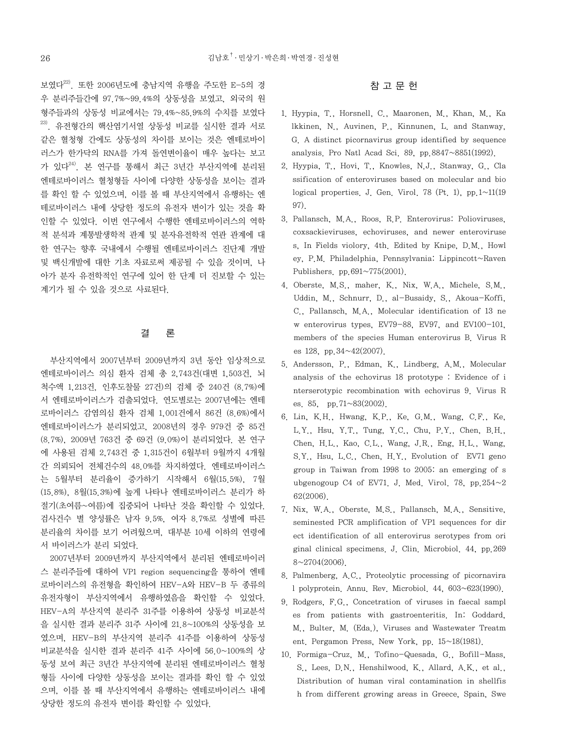보였다22). 또한 2006년도에 충남지역 유행을 주도한 E-5의 경 우 분리주들간에 97.7%~99.4%의 상동성을 보였고, 외국의 원 형주들과의 상동성 비교에서는 79.4%~85.9%의 수치를 보였다 23). 유전형간의 핵산염기서열 상동성 비교를 실시한 결과 서로 같은 혈청형 간에도 상동성의 차이를 보이는 것은 엔테로바이 러스가 한가닥의 RNA를 가져 돌연변이율이 매우 높다는 보고 가 있다24). 본 연구를 통해서 최근 3년간 부산지역에 분리된 엔테로바이러스 혈청형들 사이에 다양한 상동성을 보이는 결과 를 확인 할 수 있었으며, 이를 볼 때 부산지역에서 유행하는 엔 테로바이러스 내에 상당한 정도의 유전자 변이가 있는 것을 확 인할 수 있었다. 이번 연구에서 수행한 엔테로바이러스의 역학 적 분석과 계통발생학적 관계 및 분자유전학적 연관 관계에 대 한 연구는 향후 국내에서 수행될 엔테로바이러스 진단제 개발 및 백신개발에 대한 기초 자료로써 제공될 수 있을 것이며, 나 아가 분자 유전학적인 연구에 있어 한 단계 더 진보할 수 있는 계기가 될 수 있을 것으로 사료된다.

# 결 론

부산지역에서 2007년부터 2009년까지 3년 동안 임상적으로 엔테로바이러스 의심 환자 검체 총 2,743건(대변 1,503건, 뇌 척수액 1,213건, 인후도찰물 27건)의 검체 중 240건 (8.7%)에 서 엔테로바이러스가 검출되었다. 연도별로는 2007년에는 엔테 로바이러스 감염의심 환자 검체 1,001건에서 86건 (8.6%)에서 엔테로바이러스가 분리되었고, 2008년의 경우 979건 중 85건 (8.7%), 2009년 763건 중 69건 (9.0%)이 분리되었다. 본 연구 에 사용된 검체 2,743건 중 1,315건이 6월부터 9월까지 4개월 간 의뢰되어 전체건수의 48.0%를 차지하였다. 엔테로바이러스 는 5월부터 분리율이 증가하기 시작해서 6월(15.5%), 7월 (15.8%), 8월(15.3%)에 높게 나타나 엔테로바이러스 분리가 하 절기(초여름~여름)에 집중되어 나타난 것을 확인할 수 있었다. 검사건수 별 양성률은 남자 9.5%, 여자 8.7%로 성별에 따른 분리율의 차이를 보기 어려웠으며, 대부분 10세 이하의 연령에 서 바이러스가 분리 되었다.

2007년부터 2009년까지 부산지역에서 분리된 엔테로바이러 스 분리주들에 대하여 VP1 region sequencing을 통하여 엔테 로바이러스의 유전형을 확인하여 HEV-A와 HEV-B 두 종류의 유전자형이 부산지역에서 유행하였음을 확인할 수 있었다. HEV-A의 부산지역 분리주 31주를 이용하여 상동성 비교분석 을 실시한 결과 분리주 31주 사이에 21.8~100%의 상동성을 보 였으며, HEV-B의 부산지역 분리주 41주를 이용하여 상동성 비교분석을 실시한 결과 분리주 41주 사이에 56.0~100%의 상 동성 보여 최근 3년간 부산지역에 분리된 엔테로바이러스 혈청 형들 사이에 다양한 상동성을 보이는 결과를 확인 할 수 있었 으며, 이를 볼 때 부산지역에서 유행하는 엔테로바이러스 내에 상당한 정도의 유전자 변이를 확인할 수 있었다.

# 참 고 문 헌

- 1. Hyypia, T., Horsnell, C., Maaronen, M., Khan, M., Ka lkkinen, N., Auvinen, P., Kinnunen, L. and Stanway, G. A distinct picornavirus group identified by sequence analysis. Pro Natl Acad Sci. 89, pp.8847~8851(1992).
- 2. Hyypia, T., Hovi, T., Knowles, N.J., Stanway, G., Cla ssification of enteroviruses based on molecular and bio logical properties. J. Gen. Virol. 78 (Pt. 1), pp.  $1 \sim 11(19)$ 97).
- 3. Pallansch, M.A., Roos, R.P. Enterovirus: Polioviruses, coxsackieviruses, echoviruses, and newer enteroviruse s, In Fields violory, 4th. Edited by Knipe, D.M., Howl ey, P.M. Philadelphia, Pennsylvania: Lippincott~Raven Publishers. pp.691~775(2001).
- 4. Oberste, M.S., maher, K., Nix, W.A., Michele, S.M., Uddin, M., Schnurr, D., al-Busaidy, S., Akoua-Koffi, C., Pallansch, M.A., Molecular identification of 13 ne w enterovirus types, EV79-88, EV97, and EV100-101, members of the species Human enterovirus B. Virus R es  $128$ , pp. $34 \sim 42(2007)$ .
- 5. Andersson, P., Edman, K., Lindberg, A.M., Molecular analysis of the echovirus 18 prototype : Evidence of i nterserotypic recombination with echovirus 9. Virus R es. 85, pp.71~83(2002).
- 6. Lin, K.H., Hwang, K.P., Ke, G.M., Wang, C.F., Ke, L.Y., Hsu, Y.T., Tung, Y.C., Chu, P.Y., Chen, B.H., Chen, H.L., Kao, C.L., Wang, J.R., Eng, H.L., Wang, S.Y., Hsu, L.C., Chen, H.Y., Evolution of EV71 geno group in Taiwan from 1998 to 2005: an emerging of s ubgenogoup C4 of EV71. J. Med. Virol. 78, pp.  $254~2$ 62(2006).
- 7. Nix, W.A., Oberste, M.S., Pallansch, M.A., Sensitive, seminested PCR amplification of VP1 sequences for dir ect identification of all enterovirus serotypes from ori ginal clinical specimens. J. Clin. Microbiol. 44, pp.269  $8~2704(2006)$ .
- 8. Palmenberg, A.C., Proteolytic processing of picornavira l polyprotein. Annu. Rev. Microbiol. 44, 603~623(1990).
- 9. Rodgers, F.G., Concetration of viruses in faecal sampl es from patients with gastroenteritis. In: Goddard, M., Bulter, M. (Eda.), Viruses and Wastewater Treatm ent. Pergamon Press, New York, pp. 15~18(1981).
- 10. Formiga-Cruz, M., Tofino-Quesada, G., Bofill-Mass, S., Lees, D.N., Henshilwood, K., Allard, A.K., et al., Distribution of human viral contamination in shellfis h from different growing areas in Greece, Spain, Swe